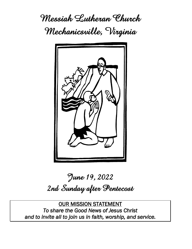**Messiah Lutheran Church Mechanicsville, Virginia**



# **June 19, 2022 2nd Sunday after Pentecost**

OUR MISSION STATEMENT *To share the Good News of Jesus Christ and to invite all to join us in faith, worship, and service.*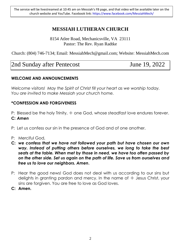The service will be livestreamed at 10:45 am on Messiah's FB page, and that video will be available later on the church website and YouTube. Facebook link:<https://www.facebook.com/MessiahMech/>

### **MESSIAH LUTHERAN CHURCH**

8154 Atlee Road, Mechanicsville, VA 23111 Pastor: The Rev. Ryan Radtke

Church: (804) 746-7134; Email: MessiahMech@gmail.com; Website: [MessiahMech.c](http://www.mlcas.org/)om

### 2nd Sunday after Pentecost June 19, 2022

#### **WELCOME AND ANNOUNCEMENTS**

*Welcome visitors! May the Spirit of Christ fill your heart as we worship today. You are invited to make Messiah your church home.*

#### **\*CONFESSION AND FORGIVENESS**

P: Blessed be the holy Trinity,  $\pm$  one God, whose steadfast love endures forever.

#### **C:** *Amen*

P: Let us confess our sin in the presence of God and of one another.

- P: Merciful God,
- **C:** *we confess that we have not followed your path but have chosen our own way. Instead of putting others before ourselves, we long to take the best seats at the table. When met by those in need, we have too often passed by on the other side. Set us again on the path of life. Save us from ourselves and free us to love our neighbors. Amen***.**
- P: Hear the good news! God does not deal with us according to our sins but delights in granting pardon and mercy. In the name of  $\pm$  Jesus Christ, your sins are forgiven. You are free to love as God loves.
- **C: Amen.**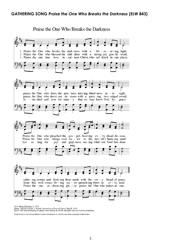Praise the One Who Breaks the Darkness



Text: Rusty Edwards, b. 1955<br>Music: NETTLETON, J. Wyeth, Repository of Sacred Music, Part II, 1813<br>Text © 1987 Hope Publishing Company, Carol Stream. IL 60188. All rights reserved. Used by permission.

Duplication in any form prohibited without permission or valid license from copyright administrator.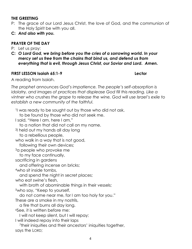#### **THE GREETING**

- P: The grace of our Lord Jesus Christ, the love of God, and the communion of the Holy Spirit be with you all.
- **C:** *And also with you.*

#### **PRAYER OF THE DAY**

- P: Let us pray:
- **C:** *O Lord God, we bring before you the cries of a sorrowing world. In your mercy set us free from the chains that bind us, and defend us from everything that is evil, through Jesus Christ, our Savior and Lord. Amen.*

#### **FIRST LESSON Isaiah 65:1-9 Lector**

A reading from Isaiah.

*The prophet announces God's impatience. The people's self-absorption is idolatry, and images of practices that displease God fill this reading. Like a vintner who crushes the grape to release the wine, God will use Israel's exile to establish a new community of the faithful.*

<sup>1</sup>I was ready to be sought out by those who did not ask, to be found by those who did not seek me. I said, "Here I am, here I am," to a nation that did not call on my name. <sup>2</sup>I held out my hands all day long to a rebellious people, who walk in a way that is not good, following their own devices; <sup>3</sup>a people who provoke me to my face continually, sacrificing in gardens and offering incense on bricks; <sup>4</sup>who sit inside tombs, and spend the night in secret places; who eat swine's flesh, with broth of abominable things in their vessels; <sup>5</sup>who say, "Keep to yourself, do not come near me, for I am too holy for you." These are a smoke in my nostrils, a fire that burns all day long. <sup>6</sup>See, it is written before me: I will not keep silent, but I will repay; I will indeed repay into their laps <sup>7</sup>their iniquities and their ancestors' iniquities together,

says the LORD;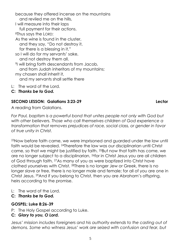because they offered incense on the mountains and reviled me on the hills, I will measure into their laps full payment for their actions. <sup>8</sup>Thus says the LORD: As the wine is found in the cluster, and they say, "Do not destroy it, for there is a blessing in it," so I will do for my servants' sake, and not destroy them all. <sup>9</sup>I will bring forth descendants from Jacob, and from Judah inheritors of my mountains; my chosen shall inherit it, and my servants shall settle there

- L: The word of the Lord.
- **C:** *Thanks be to God.*

#### **SECOND LESSON: Galatians 3:23-29 Lector**

A reading from Galatians.

*For Paul, baptism is a powerful bond that unites people not only with God but with other believers. Those who call themselves children of God experience a transformation that removes prejudices of race, social class, or gender in favor of true unity in Christ.*

<sup>23</sup>Now before faith came, we were imprisoned and guarded under the law until faith would be revealed. 24Therefore the law was our disciplinarian until Christ came, so that we might be justified by faith. 25But now that faith has come, we are no longer subject to a disciplinarian, 26for in Christ Jesus you are all children of God through faith. 27As many of you as were baptized into Christ have clothed yourselves with Christ. 28There is no longer Jew or Greek, there is no longer slave or free, there is no longer male and female; for all of you are one in Christ Jesus. 29And if you belong to Christ, then you are Abraham's offspring, heirs according to the promise.

- L: The word of the Lord.
- **C:** *Thanks be to God.*

#### **GOSPEL: Luke 8:26-39**

- P: The Holy Gospel according to Luke.
- **C:** *Glory to you, O Lord.*

*Jesus' mission includes foreigners and his authority extends to the casting out of demons. Some who witness Jesus' work are seized with confusion and fear, but*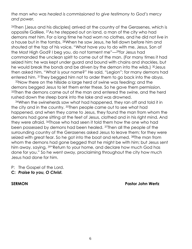#### *the man who was healed is commissioned to give testimony to God's mercy and power.*

<sup>26</sup>Then [Jesus and his disciples] arrived at the country of the Gerasenes, which is opposite Galilee. 27As he stepped out on land, a man of the city who had demons met him. For a long time he had worn no clothes, and he did not live in a house but in the tombs. 28When he saw Jesus, he fell down before him and shouted at the top of his voice, "What have you to do with me, Jesus, Son of the Most High God? I beg you, do not torment me"—29for Jesus had commanded the unclean spirit to come out of the man. (For many times it had seized him; he was kept under guard and bound with chains and shackles, but he would break the bonds and be driven by the demon into the wilds.) 30 Jesus then asked him, "What is your name?" He said, "Legion"; for many demons had entered him. 31They begged him not to order them to go back into the abyss.

<sup>32</sup>Now there on the hillside a large herd of swine was feeding; and the demons begged Jesus to let them enter these. So he gave them permission. 33Then the demons came out of the man and entered the swine, and the herd rushed down the steep bank into the lake and was drowned.

<sup>34</sup>When the swineherds saw what had happened, they ran off and told it in the city and in the country. 35Then people came out to see what had happened, and when they came to Jesus, they found the man from whom the demons had gone sitting at the feet of Jesus, clothed and in his right mind. And they were afraid. 36Those who had seen it told them how the one who had been possessed by demons had been healed. 37Then all the people of the surrounding country of the Gerasenes asked Jesus to leave them; for they were seized with great fear. So he got into the boat and returned. 38The man from whom the demons had gone begged that he might be with him; but Jesus sent him away, saying, <sup>39</sup> "Return to your home, and declare how much God has done for you." So he went away, proclaiming throughout the city how much Jesus had done for him.

P: The Gospel of the Lord.

**C:** *Praise to you, O Christ.*

**SERMON Pastor John Wertz**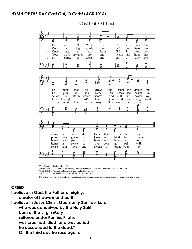#### **HYMN OF THE DAY** *Cast Out, O Christ* **(ACS 1016)**

Cast Out, O Christ



Text: Mary Louise Bringle, b. 1953 Music: CONSOLATION, A. Davisson, Kentucky Harmony, 1816; arr. Theodore A. Beck, 1929-2003 Text © 2006 GIA Publications, Inc., giamusic.com. All rights reserved. Arr. © 1969 Concordia Publishing House, cph.org. All rights reserved.

Duplication in any form prohibited without securing permission from copyright administrator or reporting usage under valid license.

#### **CREED**

**I believe in God, the Father almighty, creator of heaven and earth. I believe in Jesus Christ, God's only Son, our Lord, who was conceived by the Holy Spirit, born of the virgin Mary, suffered under Pontius Pilate, was crucified, died, and was buried; he descended to the dead.\***

**On the third day he rose again;**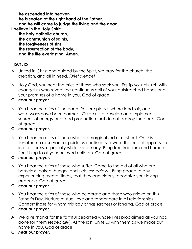**he ascended into heaven, he is seated at the right hand of the Father, and he will come to judge the living and the dead. I believe in the Holy Spirit, the holy catholic church, the communion of saints, the forgiveness of sins, the resurrection of the body, and the life everlasting. Amen.**

#### **PRAYERS**

- A: United in Christ and guided by the Spirit, we pray for the church, the creation, and all in need. *[Brief silence]*
- A: Holy God, you hear the cries of those who seek you. Equip your church with evangelists who reveal the continuous call of your outstretched hands and your promises of a home in you. God of grace,
- **C:** *hear our prayer.*
- A: You hear the cries of the earth. Restore places where land, air, and waterways have been harmed. Guide us to develop and implement sources of energy and food production that do not destroy the earth. God of grace,

#### **C:** *hear our prayer.*

A: You hear the cries of those who are marginalized or cast out. On this Juneteenth observance, guide us continually toward the end of oppression in all its forms, especially white supremacy. Bring true freedom and human flourishing to all your beloved children. God of grace,

#### **C:** *hear our prayer.*

A: You hear the cries of those who suffer. Come to the aid of all who are homeless, naked, hungry, and sick (*especially*). Bring peace to any experiencing mental illness, that they can clearly recognize your loving presence. God of grace,

#### **C:** *hear our prayer.*

A: You hear the cries of those who celebrate and those who grieve on this Father's Day. Nurture mutual love and tender care in all relationships. Comfort those for whom this day brings sadness or longing. God of grace,

#### **C:** *hear our prayer.*

A: We give thanks for the faithful departed whose lives proclaimed all you had done for them (*especially*). At the last, unite us with them as we make our home in you. God of grace,

#### **C:** *hear our prayer.*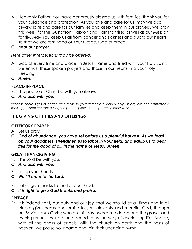A: Heavenly Father, You have generously blessed us with families. Thank you for your guidance and protection. As you love and care for us, may we also always love and care for our families and keep them in our prayers. We pray this week for the Gustafson, Habron and Harris families as well as our Messiah family. May You keep us all from danger and sickness and guard our hearts so that we are reminded of Your Grace. God of grace,

#### **C:** *hear our prayer.*

*Here other intercessions may be offered.*

- A: God of every time and place, in Jesus' name and filled with your Holy Spirit, we entrust these spoken prayers and those in our hearts into your holy keeping.
- **C:** *Amen***.**

#### **PEACE-IN-PLACE**

- P: The peace of Christ be with you always.
- **C***: And also with you.*

*\*\*Please share signs of peace with those in your immediate vicinity only. If any are not comfortable making physical contact during the peace, please share peace in other ways.*

#### **THE GIVING OF TITHES AND OFFERINGS**

#### **OFFERTORY PRAYER**

- A: Let us pray.
- **C:** *God of abundance: you have set before us a plentiful harvest. As we feast on your goodness, strengthen us to labor in your field, and equip us to bear fruit for the good of all, in the name of Jesus. Amen*

#### **GREAT THANKSGIVING**

- P: The Lord be with you.
- **C:** *And also with you.*
- P: Lift up your hearts.
- **C:** *We lift them to the Lord.*
- P: Let us give thanks to the Lord our God.
- **C:** *It is right to give God thanks and praise.*

#### **PREFACE**

P: It is indeed right, our duty and our joy, that we should at all times and in all places give thanks and praise to you, almighty and merciful God, through our Savior Jesus Christ; who on this day overcame death and the grave, and by his glorious resurrection opened to us the way of everlasting life. And so, with all the choirs of angels, with the church on earth and the hosts of heaven, we praise your name and join their unending hymn: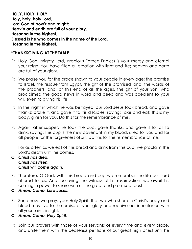**HOLY, HOLY, HOLY Holy, holy, holy Lord, Lord God of pow'r and might: Heav'n and earth are full of your glory. Hosanna in the highest. Blessed is he who comes in the name of the Lord. Hosanna in the highest.**

#### **\*THANKSGIVING AT THE TABLE**

- P: Holy God, mighty Lord, gracious Father: Endless is your mercy and eternal your reign. You have filled all creation with light and life; heaven and earth are full of your glory.
- P: We praise you for the grace shown to your people in every age: the promise to Israel, the rescue from Egypt, the gift of the promised land, the words of the prophets; and, at this end of all the ages, the gift of your Son, who proclaimed the good news in word and deed and was obedient to your will, even to giving his life.
- P: In the night in which he was betrayed, our Lord Jesus took bread, and gave thanks; broke it, and gave it to his disciples, saying: Take and eat; this is my body, given for you. Do this for the remembrance of me.
- P: Again, after supper, he took the cup, gave thanks, and gave it for all to drink, saying: This cup is the new covenant in my blood, shed for you and for all people for the forgiveness of sin. Do this for the remembrance of me.

For as often as we eat of this bread and drink from this cup, we proclaim the Lord's death until he comes.

#### **C:** *Christ has died. Christ has risen. Christ will come again.*

- P: Therefore, O God, with this bread and cup we remember the life our Lord offered for us. And, believing the witness of his resurrection, we await his coming in power to share with us the great and promised feast.
- **C:** *Amen. Come, Lord Jesus***.**
- P: Send now, we pray, your Holy Spirit, that we who share in Christ's body and blood may live to the praise of your glory and receive our inheritance with all your saints in light.
- **C:** *Amen. Come, Holy Spirit***.**
- P: Join our prayers with those of your servants of every time and every place, and unite them with the ceaseless petitions of our great high priest until he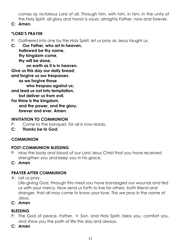comes as victorious Lord of all. Through him, with him, in him, in the unity of the Holy Spirit, all glory and honor is yours, almighty Father, now and forever.

**C:** *Amen***.**

#### **\*LORD'S PRAYER**

- P: Gathered into one by the Holy Spirit, let us pray as Jesus taught us.
- **C: Our Father, who art in heaven,**
	- **hallowed be thy name, thy kingdom come, thy will be done,**

**on earth as it is in heaven.**

**Give us this day our daily bread;**

**and forgive us our trespasses,**

**as we forgive those**

**who trespass against us;**

**and lead us not into temptation,**

**but deliver us from evil.**

**For thine is the kingdom, and the power, and the glory, forever and ever. Amen.**

#### **INVITATION TO COMMUNION**

- P: Come to the banquet, for all is now ready.
- **C:** *Thanks be to God.*

#### **COMMUNION**

#### **POST-COMMUNION BLESSING**

- P: May the body and blood of our Lord Jesus Christ that you have received strengthen you and keep you in his grace.
- **C:** *Amen*

#### **PRAYER AFTER COMMUNION**

A: Let us pray.

Life-giving God, through this meal you have bandaged our wounds and fed us with your mercy. Now send us forth to live for others, both friend and stranger, that all may come to know your love. This we pray in the name of Jesus.

**C:** *Amen*

#### **BLESSING**

- P: The God of peace, Father,  $\pm$  Son, and Holy Spirit, bless you, comfort you, and show you the path of life this day and always.
- **C:** *Amen*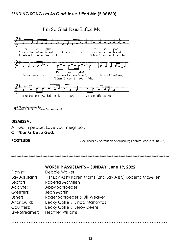#### **SENDING SONG** *I'm So Glad Jesus Lifted Me* **(ELW 860)**



Text: African American spiritual<br>Music: JESUS LIFTED ME, African American spiritual

#### **DISMISSAL**

- A: Go in peace. Love your neighbor.
- **C:** *Thanks be to God.*

**POSTLUDE** (Text used by permission of Augsburg Fortress license #11886-S)

\*\*\*\*\*\*\*\*\*\*\*\*\*\*\*\*\*\*\*\*\*\*\*\*\*\*\*\*\*\*\*\*\*\*\*\*\*\*\*\*\*\*\*\*\*\*\*\*\*\*\*\*\*\*\*\*\*\*\*\*\*\*\*\*\*\*\*\*\*\*\*\*\*\*\*\*\*\*\*\*\*\*\*\*\*\*\*\*\*\*\*

#### **WORSHIP ASSISTANTS – SUNDAY, June 19, 2022**

| Pianist:        | Debbie Walker                                                |
|-----------------|--------------------------------------------------------------|
| Lay Assistants: | (1st Lay Asst) Karen Morris (2nd Lay Asst.) Roberta McMillen |
| Lectors:        | Roberta McMillen                                             |
| Acolyte:        | Abby Schroeder                                               |
| Greeters:       | Jean Martin                                                  |
| <b>Ushers</b>   | Roger Schroeder & Bill Weaver                                |
| Altar Guild:    | <b>Becky Collie &amp; Linda Mahovtas</b>                     |
| Counters:       | <b>Becky Collie &amp; Leroy Deere</b>                        |
| Live Streamer:  | <b>Heather Williams</b>                                      |

\*\*\*\*\*\*\*\*\*\*\*\*\*\*\*\*\*\*\*\*\*\*\*\*\*\*\*\*\*\*\*\*\*\*\*\*\*\*\*\*\*\*\*\*\*\*\*\*\*\*\*\*\*\*\*\*\*\*\*\*\*\*\*\*\*\*\*\*\*\*\*\*\*\*\*\*\*\*\*\*\*\*\*\*\*\*\*\*\*\*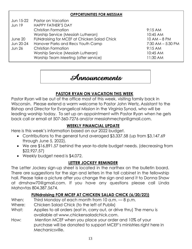| <b>OPPORTUNITIES FOR MESSIAH</b> |                                             |                      |  |
|----------------------------------|---------------------------------------------|----------------------|--|
| Jun 15-22                        | Pastor on Vacation                          |                      |  |
| <b>Jun 19</b>                    | <b>HAPPY FATHER'S DAY</b>                   |                      |  |
|                                  | <b>Christian Formation</b>                  | 9:15AM               |  |
|                                  | Worship Service (Messiah Lutheran)          | 10:45 AM             |  |
| June 20                          | FUNdraising for MCEF at Chicken Salad Chick | $10 AM - 8 PM$       |  |
| Jun 20-24                        | Hanover Parks and Recs Youth Camp           | $7:30$ AM $-5:30$ PM |  |
| <b>Jun 26</b>                    | <b>Christian Formation</b>                  | 9:15AM               |  |
|                                  | Worship Service (Messiah Lutheran)          | 10:45 AM             |  |
|                                  | Worship Team Meeting (after service)        | 11:30 AM             |  |

## **Announcements**

#### **PASTOR RYAN ON VACATION THIS WEEK**

Pastor Ryan will be out of the office most of this week, visiting family back in Wisconsin. Please extend a warm welcome to Pastor John Wertz, Assistant to the Bishop and Director for Evangelical Mission in the Virginia Synod, who will be leading worship today. To set up an appointment with Pastor Ryan when he gets back call or email at 507-360-7276 and/or [messiahmechpr@gmail.com.](mailto:messiahmechpr@gmail.com)

#### **WEEKLY FINANCIAL UPDATE**

Here is this week's information based on our 2022 budget.

- Contributions to the general fund averaged \$3,337.58 (up from \$3,147.69 through June 5, 2022).
- We are \$16,891.57 behind the year-to-date budget needs. (decreasing from \$22,927.57)
- Weekly budget need is \$4,072.

#### **LETTER JOCKEY REMINDER**

The Letter Jockey sign-up sheet is located in the narthex on the bulletin board. There are suggestions for the sign and letters in the tall cabinet in the fellowship hall. Please take a picture after you change the sign and send it to Donna Shaw at [dmshaw70@gmail.com.](mailto:dmshaw70@gmail.com) If you have any questions please call Linda Mahovtas 804.387.5674.

#### **FUNdraising FOR MCEF AT CHICKEN SALAD CHICK (6/20/22))**

- When: Third Monday of each month from 10 a.m.  $-8$  p.m.
- Where: Chicken Salad Chick (to the left of Publix)
- What: Applies to all orders (eat in, carry out, or drive thru) The menu is available at www.chickensaladchick.com.
- How: Mention MCEF when you place your order and 10% of your purchase will be donated to support MCEF's ministries right here in Mechanicsville.